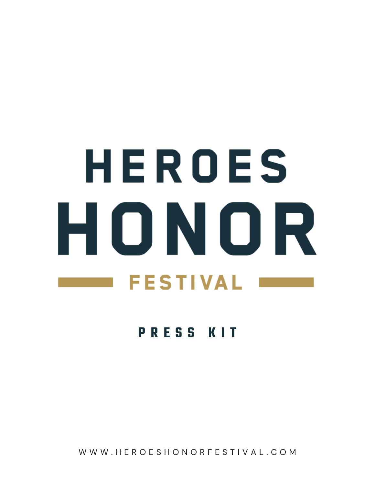# HEROES HONOR **FESTIVAL**

## **P R E S S K I T**

W W W . H E R O E S H O N O R F E S T I V A L . C O M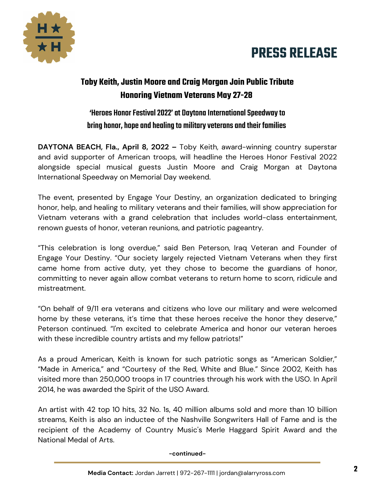



## **Toby Keith, Justin Moore and Craig Morgan Join Public Tribute Honoring Vietnam Veterans May 27-28**

### 'Heroes Honor Festival 2022' at Daytona International Speedway to bring honor, hope and healing to military veterans and their families

**DAYTONA BEACH, Fla., April 8, 2022 –** Toby Keith, award-winning country superstar and avid supporter of American troops, will headline the Heroes Honor Festival 2022 alongside special musical guests Justin Moore and Craig Morgan at Daytona International Speedway on Memorial Day weekend.

The event, presented by Engage Your Destiny, an organization dedicated to bringing honor, help, and healing to military veterans and their families, will show appreciation for Vietnam veterans with a grand celebration that includes world-class entertainment, renown guests of honor, veteran reunions, and patriotic pageantry.

"This celebration is long overdue," said Ben Peterson, Iraq Veteran and Founder of Engage Your Destiny. "Our society largely rejected Vietnam Veterans when they first came home from active duty, yet they chose to become the guardians of honor, committing to never again allow combat veterans to return home to scorn, ridicule and mistreatment.

"On behalf of 9/11 era veterans and citizens who love our military and were welcomed home by these veterans, it's time that these heroes receive the honor they deserve," Peterson continued. "I'm excited to celebrate America and honor our veteran heroes with these incredible country artists and my fellow patriots!"

As a proud American, Keith is known for such patriotic songs as "American Soldier," "Made in America," and "Courtesy of the Red, White and Blue." Since 2002, Keith has visited more than 250,000 troops in 17 countries through his work with the USO. In April 2014, he was awarded the Spirit of the USO Award.

An artist with 42 top 10 hits, 32 No. 1s, 40 million albums sold and more than 10 billion streams, Keith is also an inductee of the Nashville Songwriters Hall of Fame and is the recipient of the Academy of Country Music's Merle Haggard Spirit Award and the National Medal of Arts.

#### **-continued-**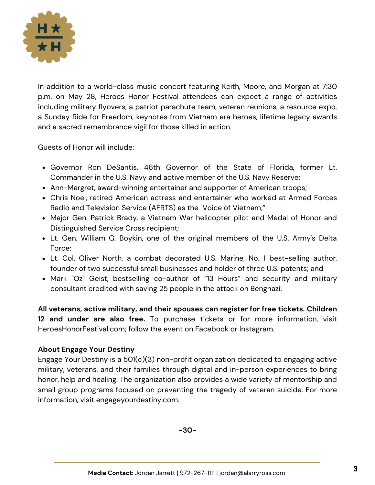

In addition to a world-class music concert featuring Keith, Moore, and Morgan at 7:30 p.m. on May 28, Heroes Honor Festival attendees can expect a range of activities including military flyovers, a patriot parachute team, veteran reunions, a resource expo, a Sunday Ride for Freedom, keynotes from Vietnam era heroes, lifetime legacy awards and a sacred remembrance vigil for those killed in action.

Guests of Honor will include:

- Governor Ron DeSantis, 46th Governor of the State of Florida, former Lt. Commander in the U.S. Navy and active member of the U.S. Navy Reserve;
- Ann-Margret, award-winning entertainer and supporter of American troops;
- Chris Noel, retired American actress and entertainer who worked at Armed Forces Radio and Television Service (AFRTS) as the "Voice of Vietnam;"
- Major Gen. Patrick Brady, a Vietnam War helicopter pilot and Medal of Honor and Distinguished Service Cross recipient;
- Lt. Gen. William G. Boykin, one of the original members of the U.S. Army's Delta Force;
- Lt. Col. Oliver North, a combat decorated U.S. Marine, No. 1 best-selling author, founder of two successful small businesses and holder of three U.S. patents; and
- Mark "Oz" Geist, bestselling co-author of "13 Hours" and security and military consultant credited with saving 25 people in the attack on Benghazi.

**All veterans, active military, and their spouses can register for free tickets. Children 12 and under are also free.** To purchase tickets or for more information, visit HeroesHonorFestival.com; follow the event on Facebook or Instagram.

#### **About Engage Your Destiny**

Engage Your Destiny is a 501(c)(3) non-profit organization dedicated to engaging active military, veterans, and their families through digital and in-person experiences to bring honor, help and healing. The organization also provides a wide variety of mentorship and small group programs focused on preventing the tragedy of veteran suicide. For more information, visit engageyourdestiny.com.

**-30-**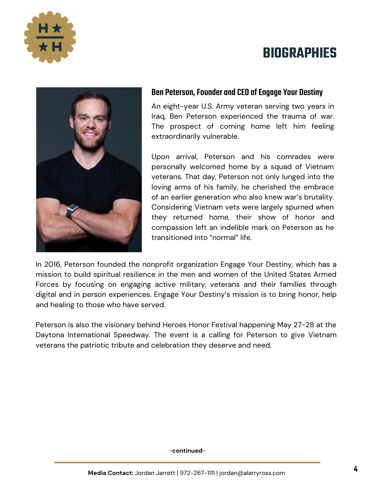

## **BIOGRAPHIES**



#### Ben Peterson, Founder and CEO of Engage Your Destiny

An eight-year U.S. Army veteran serving two years in Iraq, Ben Peterson experienced the trauma of war. The prospect of coming home left him feeling extraordinarily vulnerable.

Upon arrival, Peterson and his comrades were personally welcomed home by a squad of Vietnam veterans. That day, Peterson not only lunged into the loving arms of his family, he cherished the embrace of an earlier generation who also knew war's brutality. Considering Vietnam vets were largely spurned when they returned home, their show of honor and compassion left an indelible mark on Peterson as he transitioned into "normal" life.

In 2016, Peterson founded the nonprofit organization Engage Your Destiny, which has a mission to build spiritual resilience in the men and women of the United States Armed Forces by focusing on engaging active military, veterans and their families through digital and in person experiences. Engage Your Destiny's mission is to bring honor, help and healing to those who have served.

Peterson is also the visionary behind Heroes Honor Festival happening May 27-28 at the Daytona International Speedway. The event is a calling for Peterson to give Vietnam veterans the patriotic tribute and celebration they deserve and need.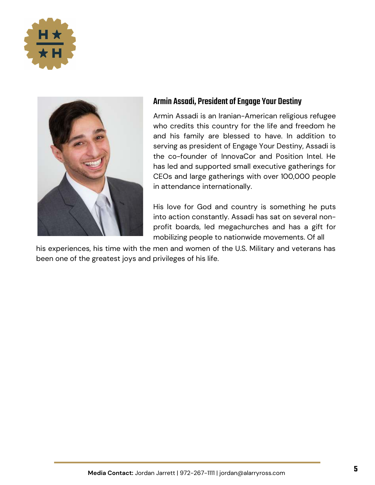



#### Armin Assadi, President of Engage Your Destiny

Armin Assadi is an Iranian-American religious refugee who credits this country for the life and freedom he and his family are blessed to have. In addition to serving as president of Engage Your Destiny, Assadi is the co-founder of InnovaCor and Position Intel. He has led and supported small executive gatherings for CEOs and large gatherings with over 100,000 people in attendance internationally.

His love for God and country is something he puts into action constantly. Assadi has sat on several nonprofit boards, led megachurches and has a gift for mobilizing people to nationwide movements. Of all

his experiences, his time with the men and women of the U.S. Military and veterans has been one of the greatest joys and privileges of his life.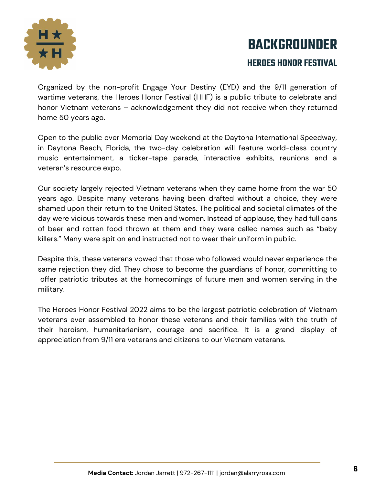

## **BACKGROUNDER HEROES HONOR FESTIVAL**

Organized by the non-profit Engage Your Destiny (EYD) and the 9/11 generation of wartime veterans, the Heroes Honor Festival (HHF) is a public tribute to celebrate and honor Vietnam veterans – acknowledgement they did not receive when they returned home 50 years ago.

Open to the public over Memorial Day weekend at the Daytona International Speedway, in Daytona Beach, Florida, the two-day celebration will feature world-class country music entertainment, a ticker-tape parade, interactive exhibits, reunions and a veteran's resource expo.

Our society largely rejected Vietnam veterans when they came home from the war 50 years ago. Despite many veterans having been drafted without a choice, they were shamed upon their return to the United States. The political and societal climates of the day were vicious towards these men and women. Instead of applause, they had full cans of beer and rotten food thrown at them and they were called names such as "baby killers." Many were spit on and instructed not to wear their uniform in public.

Despite this, these veterans vowed that those who followed would never experience the same rejection they did. They chose to become the guardians of honor, committing to offer patriotic tributes at the homecomings of future men and women serving in the military.

The Heroes Honor Festival 2022 aims to be the largest patriotic celebration of Vietnam veterans ever assembled to honor these veterans and their families with the truth of their heroism, humanitarianism, courage and sacrifice. It is a grand display of appreciation from 9/11 era veterans and citizens to our Vietnam veterans.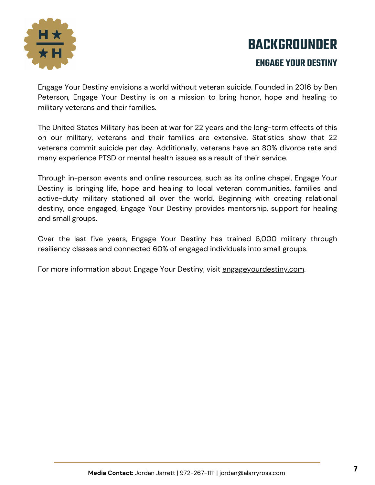

# **BACKGROUNDER ENGAGE YOUR DESTINY**

Engage Your Destiny envisions a world without veteran suicide. Founded in 2016 by Ben Peterson, Engage Your Destiny is on a mission to bring honor, hope and healing to military veterans and their families.

The United States Military has been at war for 22 years and the long-term effects of this on our military, veterans and their families are extensive. Statistics show that 22 veterans commit suicide per day. Additionally, veterans have an 80% divorce rate and many experience PTSD or mental health issues as a result of their service.

Through in-person events and online resources, such as its online chapel, Engage Your Destiny is bringing life, hope and healing to local veteran communities, families and active-duty military stationed all over the world. Beginning with creating relational destiny, once engaged, Engage Your Destiny provides mentorship, support for healing and small groups.

Over the last five years, Engage Your Destiny has trained 6,000 military through resiliency classes and connected 60% of engaged individuals into small groups.

For more information about Engage Your Destiny, visit [engageyourdestiny.com.](https://engageyourdestiny.com/)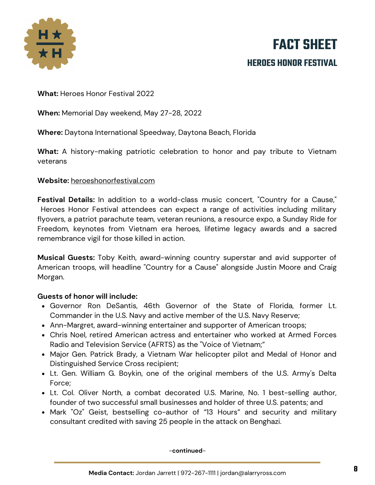

## **FACT SHEET HEROES HONOR FESTIVAL**

**What:** Heroes Honor Festival 2022

**When:** Memorial Day weekend, May 27-28, 2022

**Where:** Daytona International Speedway, Daytona Beach, Florida

**What:** A history-making patriotic celebration to honor and pay tribute to Vietnam veterans

#### **Website:** [heroeshonorfestival.com](https://heroeshonorfestival.com/)

**Festival Details:** In addition to a world-class music concert, "Country for a Cause," Heroes Honor Festival attendees can expect a range of activities including military flyovers, a patriot parachute team, veteran reunions, a resource expo, a Sunday Ride for Freedom, keynotes from Vietnam era heroes, lifetime legacy awards and a sacred remembrance vigil for those killed in action.

**Musical Guests:** Toby Keith, award-winning country superstar and avid supporter of American troops, will headline "Country for a Cause" alongside Justin Moore and Craig Morgan.

#### **Guests of honor will include:**

- Governor Ron DeSantis, 46th Governor of the State of Florida, former Lt. Commander in the U.S. Navy and active member of the U.S. Navy Reserve;
- Ann-Margret, award-winning entertainer and supporter of American troops;
- Chris Noel, retired American actress and entertainer who worked at Armed Forces Radio and Television Service (AFRTS) as the "Voice of Vietnam;"
- Major Gen. Patrick Brady, a Vietnam War helicopter pilot and Medal of Honor and Distinguished Service Cross recipient;
- Lt. Gen. William G. Boykin, one of the original members of the U.S. Army's Delta Force;
- Lt. Col. Oliver North, a combat decorated U.S. Marine, No. 1 best-selling author, founder of two successful small businesses and holder of three U.S. patents; and
- Mark "Oz" Geist, bestselling co-author of "13 Hours" and security and military consultant credited with saving 25 people in the attack on Benghazi.

-**continued**-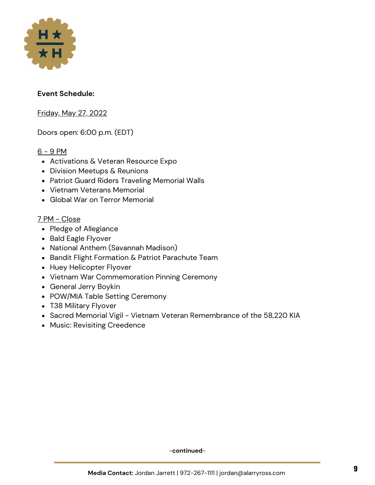

#### **Event Schedule:**

Friday, May 27, 2022

Doors open: 6:00 p.m. (EDT)

#### $6 - 9$  PM

- Activations & Veteran Resource Expo
- Division Meetups & Reunions
- Patriot Guard Riders Traveling Memorial Walls
- Vietnam Veterans Memorial
- Global War on Terror Memorial

#### 7 PM - Close

- Pledge of Allegiance
- Bald Eagle Flyover
- National Anthem (Savannah Madison)
- Bandit Flight Formation & Patriot Parachute Team
- Huey Helicopter Flyover
- Vietnam War Commemoration Pinning Ceremony
- General Jerry Boykin
- POW/MIA Table Setting Ceremony
- T38 Military Flyover
- Sacred Memorial Vigil Vietnam Veteran Remembrance of the 58,220 KIA
- Music: Revisiting Creedence

-**continued**-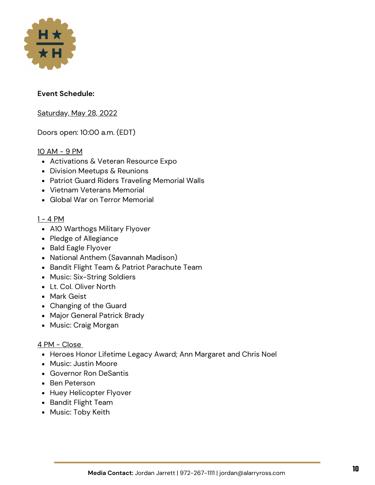

#### **Event Schedule:**

Saturday, May 28, 2022

Doors open: 10:00 a.m. (EDT)

#### 10 AM - 9 PM

- Activations & Veteran Resource Expo
- Division Meetups & Reunions
- Patriot Guard Riders Traveling Memorial Walls
- Vietnam Veterans Memorial
- Global War on Terror Memorial

#### $1 - 4 PM$

- A10 Warthogs Military Flyover
- Pledge of Allegiance
- Bald Eagle Flyover
- National Anthem (Savannah Madison)
- Bandit Flight Team & Patriot Parachute Team
- Music: Six-String Soldiers
- Lt. Col. Oliver North
- Mark Geist
- Changing of the Guard
- Major General Patrick Brady
- Music: Craig Morgan

#### <u>4 PM - Close</u>

- Heroes Honor Lifetime Legacy Award; Ann Margaret and Chris Noel
- Music: Justin Moore
- Governor Ron DeSantis
- Ben Peterson
- Huey Helicopter Flyover
- Bandit Flight Team
- Music: Toby Keith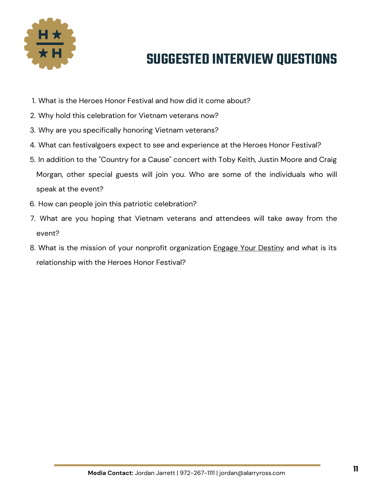

## **SUGGESTED INTERVIEW QUESTIONS**

- What is the Heroes Honor Festival and how did it come about? 1.
- Why hold this celebration for Vietnam veterans now? 2.
- Why are you specifically honoring Vietnam veterans? 3.
- What can festivalgoers expect to see and experience at the Heroes Honor Festival? 4.
- 5. In addition to the "Country for a Cause" concert with Toby Keith, Justin Moore and Craig Morgan, other special guests will join you. Who are some of the individuals who will speak at the event?
- 6. How can people join this patriotic celebration?
- What are you hoping that Vietnam veterans and attendees will take away from the 7. event?
- 8. What is the mission of your nonprofit organization <u>[Engage Your Destiny](https://engageyourdestiny.com/)</u> and what is its relationship with the Heroes Honor Festival?